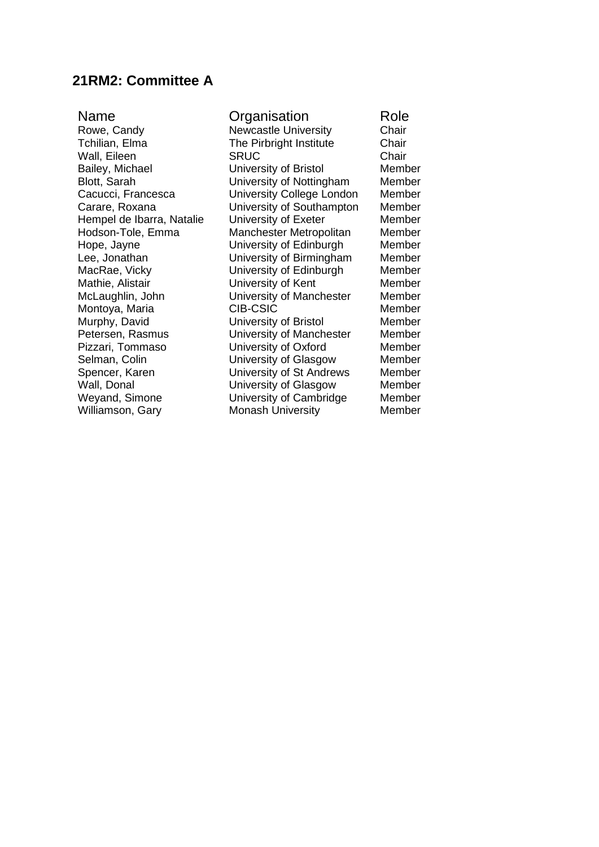## **21RM2: Committee A**

Blott, Sarah **Blott, Sarah Cacucci, Francesca** University College Londo Hempel de Ibarra, Natalie Montoya, Maria Selman, Colin **Value Colin Colin Colin Colin Colin Colin** University of Glasgow<br>
University of St Andrey

Name **Organisation** Role Rowe, Candy **Newcastle University** Chair<br>
The Pirbright Institute Chair<br>
Chair The Pirbright Institute Wall, Eileen SRUC Chair Bailey, Michael **University of Bristol** Member<br>Blott, Sarah **Member** University of Nottingham Member Cacucci, Francesca **Cacucci, Francesca** University College London Member<br>Carare, Roxana **Cacculo University of Southampton** Member University of Southampton Member<br>
University of Exeter Member Hodson-Tole, Emma Manchester Metropolitan Member Hope, Jayne University of Edinburgh Member Lee, Jonathan **Come Contract University of Birmingham** Member<br>
MacRae, Vicky **Member** University of Edinburgh Member MacRae, Vicky **NacRae, Vicky** University of Edinburgh Member<br>
Mathie. Alistair **Member** University of Kent Member University of Kent McLaughlin, John **Canada University of Manchester** Member<br>
Montova Maria CIB-CSIC Member Murphy, David University of Bristol Member Petersen, Rasmus<br>
Pizzari, Tommaso University of Oxford Member Pizzari, Tommaso **Brand University of Oxford** Member<br>
Selman, Colin **Member** University of Glasgow Member Spencer, Karen **Nation University of St Andrews** Member<br>
Wall, Donal **Nation Contract University of Glasgow** Member University of Glasgow Weyand, Simone **University of Cambridge** Member<br>
Williamson, Gary **Monash University** Member **Monash University**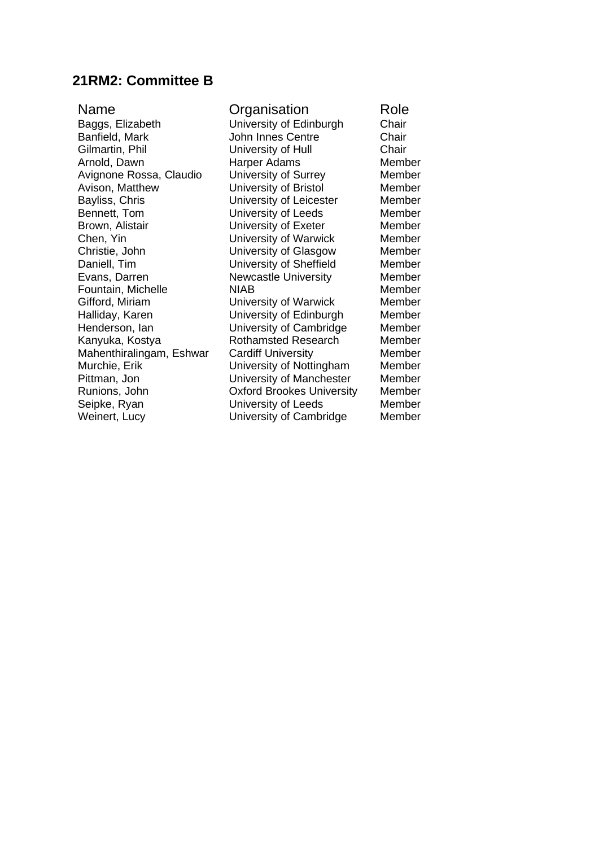## **21RM2: Committee B**

| Name                     | Organisation                     | Role   |
|--------------------------|----------------------------------|--------|
| Baggs, Elizabeth         | University of Edinburgh          | Chair  |
| Banfield, Mark           | <b>John Innes Centre</b>         | Chair  |
| Gilmartin, Phil          | University of Hull               | Chair  |
| Arnold, Dawn             | Harper Adams                     | Member |
| Avignone Rossa, Claudio  | University of Surrey             | Member |
| Avison, Matthew          | University of Bristol            | Member |
| Bayliss, Chris           | University of Leicester          | Member |
| Bennett, Tom             | University of Leeds              | Member |
| Brown, Alistair          | University of Exeter             | Member |
| Chen, Yin                | University of Warwick            | Member |
| Christie, John           | University of Glasgow            | Member |
| Daniell, Tim             | University of Sheffield          | Member |
| Evans, Darren            | <b>Newcastle University</b>      | Member |
| Fountain, Michelle       | <b>NIAB</b>                      | Member |
| Gifford, Miriam          | University of Warwick            | Member |
| Halliday, Karen          | University of Edinburgh          | Member |
| Henderson, lan           | University of Cambridge          | Member |
| Kanyuka, Kostya          | <b>Rothamsted Research</b>       | Member |
| Mahenthiralingam, Eshwar | <b>Cardiff University</b>        | Member |
| Murchie, Erik            | University of Nottingham         | Member |
| Pittman, Jon             | University of Manchester         | Member |
| Runions, John            | <b>Oxford Brookes University</b> | Member |
| Seipke, Ryan             | University of Leeds              | Member |
| Weinert, Lucy            | University of Cambridge          | Member |
|                          |                                  |        |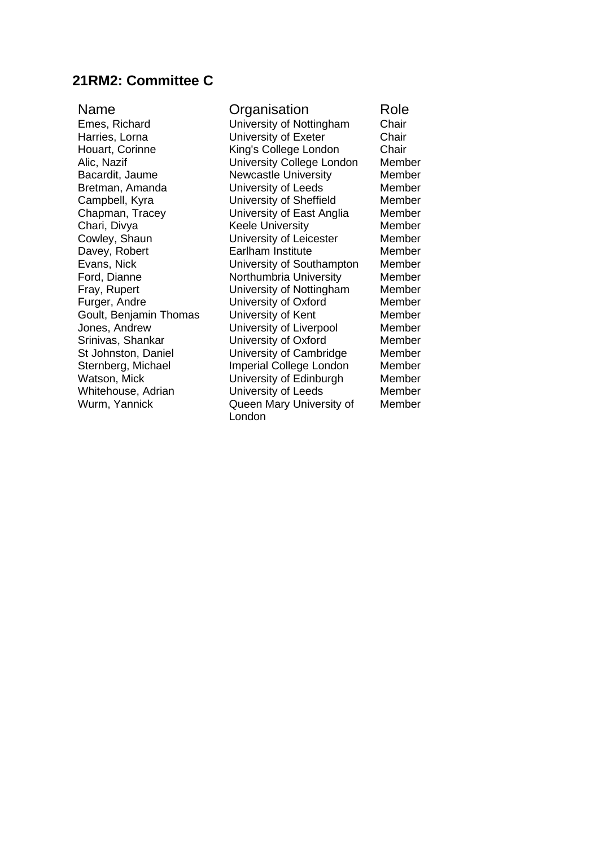## **21RM2: Committee C**

Goult, Benjamin Thomas<br>Jones, Andrew Whitehouse, Adrian

Name Crganisation Role<br>Emes. Richard University of Nottingham Chair Emes, Richard **University of Nottingham** Chair<br>
Harries, Lorna **Chair**<br>
University of Exeter Chair Harries, Lorna **Marries, Lorna Chair**<br>
Houart. Corinne **Chair**<br>
King's College London Chair Houart, Corinne **King's College London** Chair<br>Alic. Nazif College London Member University College London Bacardit, Jaume **Newcastle University** Member Bretman, Amanda University of Leeds Member Campbell, Kyra University of Sheffield Member Chapman, Tracey University of East Anglia Member Chari, Divya Keele University Member<br>
Cowley, Shaun University of Leicester Member University of Leicester Davey, Robert **Earlham Institute** Member Evans, Nick University of Southampton Member Ford, Dianne **Northumbria University** Member Fray, Rupert University of Nottingham Member Furger, Andre **Commundee University of Oxford** Member Goult, Benjamin Thomas University of Kent Jones, Andrew University of Liverpool Member University of Oxford Member<br>
University of Cambridge Member St Johnston, Daniel **University of Cambridge** Sternberg, Michael **Imperial College London** Member Watson, Mick **Watson, Mick** University of Edinburgh Member<br>
Whitehouse, Adrian University of Leeds Member Wurm, Yannick Queen Mary University of London

Member